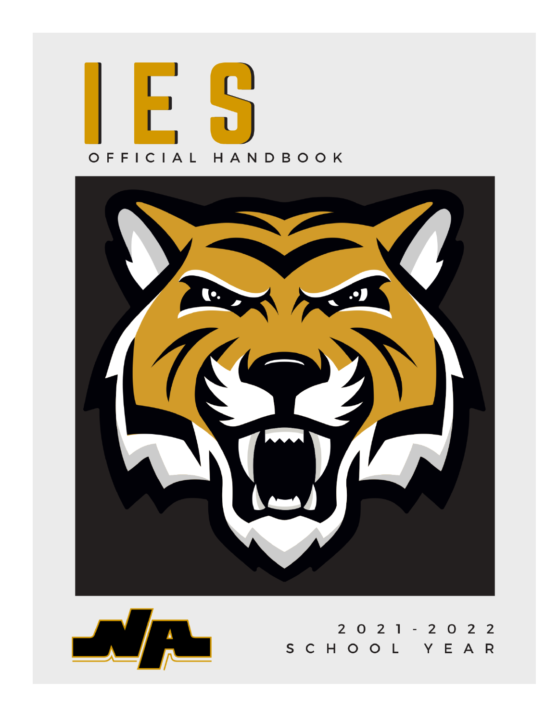



2 0 2 1 - 2 0 2 2 SCHOOL YEAR

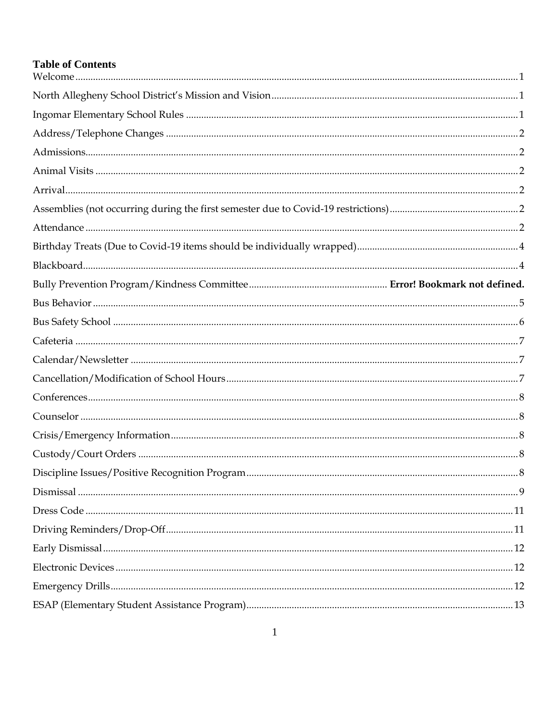# **Table of Contents**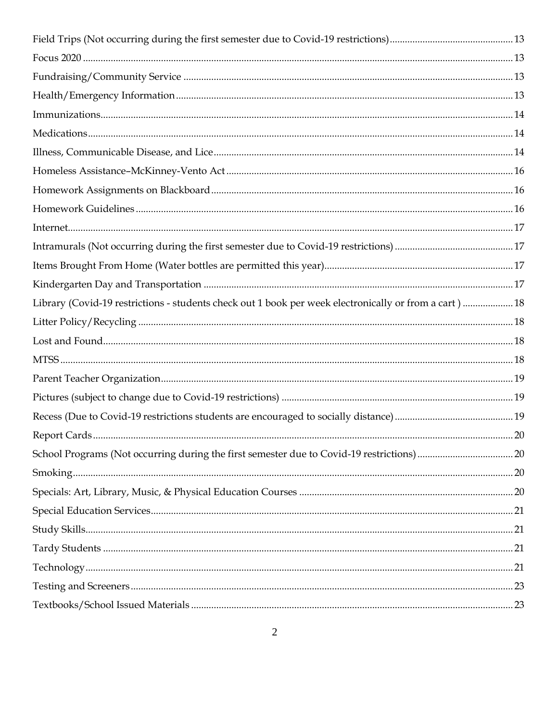| Library (Covid-19 restrictions - students check out 1 book per week electronically or from a cart)  18 |      |
|--------------------------------------------------------------------------------------------------------|------|
|                                                                                                        |      |
|                                                                                                        |      |
|                                                                                                        |      |
|                                                                                                        |      |
|                                                                                                        |      |
|                                                                                                        |      |
|                                                                                                        | . 20 |
|                                                                                                        |      |
|                                                                                                        |      |
|                                                                                                        |      |
|                                                                                                        |      |
|                                                                                                        |      |
|                                                                                                        |      |
|                                                                                                        |      |
|                                                                                                        |      |
|                                                                                                        |      |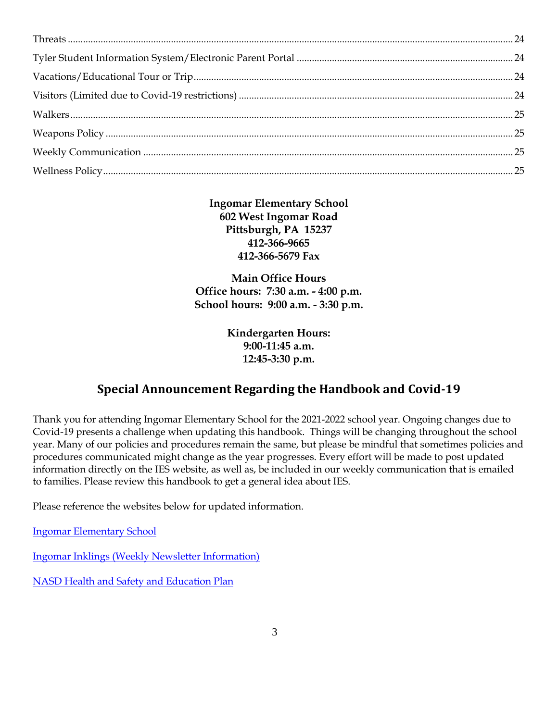**Ingomar Elementary School 602 West Ingomar Road Pittsburgh, PA 15237 412-366-9665 412-366-5679 Fax**

**Main Office Hours Office hours: 7:30 a.m. - 4:00 p.m. School hours: 9:00 a.m. - 3:30 p.m.**

> **Kindergarten Hours: 9:00-11:45 a.m. 12:45-3:30 p.m.**

## **Special Announcement Regarding the Handbook and Covid-19**

Thank you for attending Ingomar Elementary School for the 2021-2022 school year. Ongoing changes due to Covid-19 presents a challenge when updating this handbook. Things will be changing throughout the school year. Many of our policies and procedures remain the same, but please be mindful that sometimes policies and procedures communicated might change as the year progresses. Every effort will be made to post updated information directly on the IES website, as well as, be included in our weekly communication that is emailed to families. Please review this handbook to get a general idea about IES.

Please reference the websites below for updated information.

[Ingomar Elementary School](https://www.northallegheny.org/Domain/393)

[Ingomar Inklings \(Weekly Newsletter Information\)](https://www.northallegheny.org/Page/30691)

[NASD Health and Safety](https://www.northallegheny.org/Page/33020) and Education Plan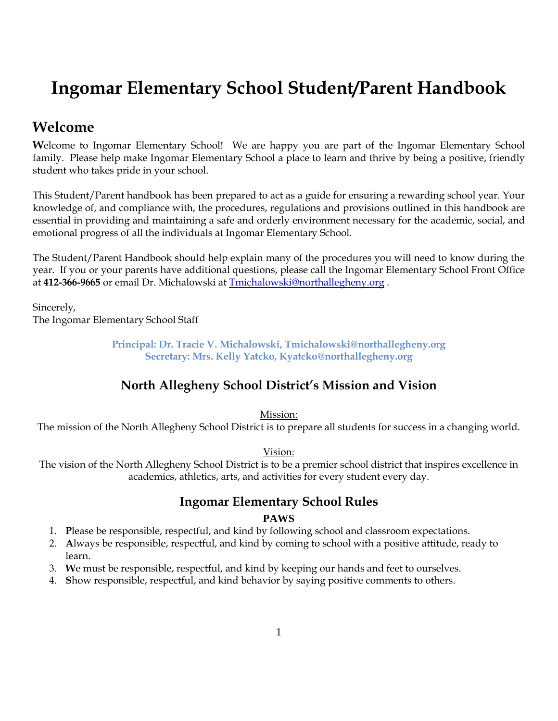# **Ingomar Elementary School Student/Parent Handbook**

# <span id="page-4-0"></span>**Welcome**

**W**elcome to Ingomar Elementary School! We are happy you are part of the Ingomar Elementary School family. Please help make Ingomar Elementary School a place to learn and thrive by being a positive, friendly student who takes pride in your school.

This Student/Parent handbook has been prepared to act as a guide for ensuring a rewarding school year. Your knowledge of, and compliance with, the procedures, regulations and provisions outlined in this handbook are essential in providing and maintaining a safe and orderly environment necessary for the academic, social, and emotional progress of all the individuals at Ingomar Elementary School.

The Student/Parent Handbook should help explain many of the procedures you will need to know during the year. If you or your parents have additional questions, please call the Ingomar Elementary School Front Office at **412-366-9665** or email Dr. Michalowski at [Tmichalowski@northallegheny.org](mailto:Tmichalowski@northallegheny.org) .

Sincerely, The Ingomar Elementary School Staff

> **Principal: Dr. Tracie V. Michalowski, Tmichalowski@northallegheny.org Secretary: Mrs. Kelly Yatcko, Kyatcko@northallegheny.org**

## **North Allegheny School District's Mission and Vision**

Mission:

<span id="page-4-1"></span>The mission of the North Allegheny School District is to prepare all students for success in a changing world.

#### Vision:

<span id="page-4-2"></span>The vision of the North Allegheny School District is to be a premier school district that inspires excellence in academics, athletics, arts, and activities for every student every day.

# **Ingomar Elementary School Rules**

#### **PAWS**

- 1. **P**lease be responsible, respectful, and kind by following school and classroom expectations.
- 2. **A**lways be responsible, respectful, and kind by coming to school with a positive attitude, ready to learn.
- 3. **W**e must be responsible, respectful, and kind by keeping our hands and feet to ourselves.
- 4. **S**how responsible, respectful, and kind behavior by saying positive comments to others.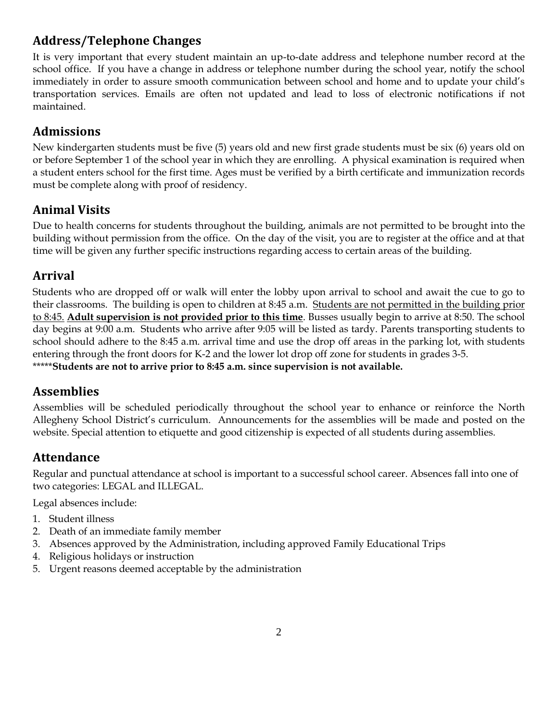# <span id="page-5-0"></span>**Address/Telephone Changes**

It is very important that every student maintain an up-to-date address and telephone number record at the school office. If you have a change in address or telephone number during the school year, notify the school immediately in order to assure smooth communication between school and home and to update your child's transportation services. Emails are often not updated and lead to loss of electronic notifications if not maintained.

## <span id="page-5-1"></span>**Admissions**

New kindergarten students must be five (5) years old and new first grade students must be six (6) years old on or before September 1 of the school year in which they are enrolling. A physical examination is required when a student enters school for the first time. Ages must be verified by a birth certificate and immunization records must be complete along with proof of residency.

## <span id="page-5-2"></span>**Animal Visits**

Due to health concerns for students throughout the building, animals are not permitted to be brought into the building without permission from the office. On the day of the visit, you are to register at the office and at that time will be given any further specific instructions regarding access to certain areas of the building.

## <span id="page-5-3"></span>**Arrival**

Students who are dropped off or walk will enter the lobby upon arrival to school and await the cue to go to their classrooms. The building is open to children at 8:45 a.m. Students are not permitted in the building prior to 8:45. **Adult supervision is not provided prior to this time**. Busses usually begin to arrive at 8:50. The school day begins at 9:00 a.m. Students who arrive after 9:05 will be listed as tardy. Parents transporting students to school should adhere to the 8:45 a.m. arrival time and use the drop off areas in the parking lot, with students entering through the front doors for K-2 and the lower lot drop off zone for students in grades 3-5. \*\*\*\*\***Students are not to arrive prior to 8:45 a.m. since supervision is not available.**

### <span id="page-5-4"></span>**Assemblies**

Assemblies will be scheduled periodically throughout the school year to enhance or reinforce the North Allegheny School District's curriculum. Announcements for the assemblies will be made and posted on the website. Special attention to etiquette and good citizenship is expected of all students during assemblies.

# <span id="page-5-5"></span>**Attendance**

Regular and punctual attendance at school is important to a successful school career. Absences fall into one of two categories: LEGAL and ILLEGAL.

Legal absences include:

- 1. Student illness
- 2. Death of an immediate family member
- 3. Absences approved by the Administration, including approved Family Educational Trips
- 4. Religious holidays or instruction
- 5. Urgent reasons deemed acceptable by the administration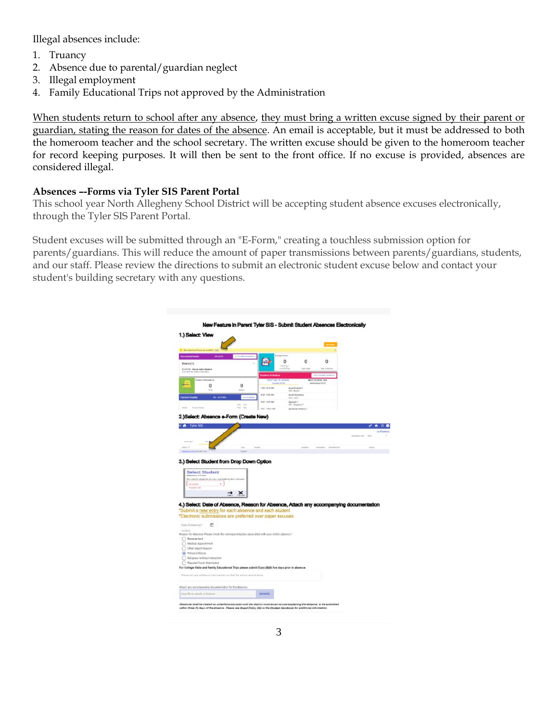Illegal absences include:

- 1. Truancy
- 2. Absence due to parental/guardian neglect
- 3. Illegal employment
- 4. Family Educational Trips not approved by the Administration

When students return to school after any absence, they must bring a written excuse signed by their parent or guardian, stating the reason for dates of the absence. An email is acceptable, but it must be addressed to both the homeroom teacher and the school secretary. The written excuse should be given to the homeroom teacher for record keeping purposes. It will then be sent to the front office. If no excuse is provided, absences are considered illegal.

#### **Absences –-Forms via Tyler SIS Parent Portal**

This school year North Allegheny School District will be accepting student absence excuses electronically, through the Tyler SIS Parent Portal.

Student excuses will be submitted through an "E-Form," creating a touchless submission option for parents/guardians. This will reduce the amount of paper transmissions between parents/guardians, students, and our staff. Please review the directions to submit an electronic student excuse below and contact your student's building secretary with any questions.

| District/17                                                                                                                                                                                                                                                                                                                                                                                                                                                                                                                                                                                                                                                                                                                                                                                                      |                                            |                                   | O                              | 0                                    | o                            |                             |         |
|------------------------------------------------------------------------------------------------------------------------------------------------------------------------------------------------------------------------------------------------------------------------------------------------------------------------------------------------------------------------------------------------------------------------------------------------------------------------------------------------------------------------------------------------------------------------------------------------------------------------------------------------------------------------------------------------------------------------------------------------------------------------------------------------------------------|--------------------------------------------|-----------------------------------|--------------------------------|--------------------------------------|------------------------------|-----------------------------|---------|
| ST/ST/26 Haw to Add a Student<br>The way to have able                                                                                                                                                                                                                                                                                                                                                                                                                                                                                                                                                                                                                                                                                                                                                            |                                            | and <b>Reduction</b>              |                                | <b>Single Tracket</b>                |                              |                             |         |
| <b>Today's Attandance</b><br>0                                                                                                                                                                                                                                                                                                                                                                                                                                                                                                                                                                                                                                                                                                                                                                                   | 0                                          |                                   | PRET DAY OF EDROG:             |                                      | MOOT SCHOOL DAY<br>das 06/08 |                             |         |
| to is                                                                                                                                                                                                                                                                                                                                                                                                                                                                                                                                                                                                                                                                                                                                                                                                            | <b>Allen</b>                               | P.O.S - 0179 AM<br>8.23 - 9.04 AM | $206 - 8nq$                    | <b>Aixd English 1</b>                |                              |                             |         |
| <b>Lattent Grades</b><br><b>IRL SERVICE</b>                                                                                                                                                                                                                                                                                                                                                                                                                                                                                                                                                                                                                                                                                                                                                                      |                                            | 9.07 - 9:47 AM                    | alti-Liech<br><b>Baskrah 1</b> | Anad Decembry                        |                              |                             |         |
| <b>Eures Ren</b>                                                                                                                                                                                                                                                                                                                                                                                                                                                                                                                                                                                                                                                                                                                                                                                                 | yide.<br><b>VIII</b><br>$\rightarrow$<br>w | <b>M21-10.01 AM</b>               |                                | 331-34pmLT<br><b>Anancas Hussa 1</b> |                              |                             |         |
| 2.)Select: Absence e-Form (Create New)                                                                                                                                                                                                                                                                                                                                                                                                                                                                                                                                                                                                                                                                                                                                                                           |                                            |                                   |                                |                                      |                              |                             |         |
| <b>N</b> Tyler StS                                                                                                                                                                                                                                                                                                                                                                                                                                                                                                                                                                                                                                                                                                                                                                                               |                                            |                                   |                                |                                      |                              |                             |         |
|                                                                                                                                                                                                                                                                                                                                                                                                                                                                                                                                                                                                                                                                                                                                                                                                                  |                                            |                                   |                                |                                      |                              |                             | e-Forms |
|                                                                                                                                                                                                                                                                                                                                                                                                                                                                                                                                                                                                                                                                                                                                                                                                                  |                                            |                                   |                                |                                      |                              | Associated States 1, Miller |         |
|                                                                                                                                                                                                                                                                                                                                                                                                                                                                                                                                                                                                                                                                                                                                                                                                                  |                                            |                                   |                                |                                      | <b>Subscribed</b> in         |                             |         |
| <b>Select Student</b><br>Absence e Core<br>For which student are you submitting this o-Form?<br>MUNICE<br>arked with                                                                                                                                                                                                                                                                                                                                                                                                                                                                                                                                                                                                                                                                                             | $\rightarrow$ $\times$                     |                                   |                                |                                      |                              |                             |         |
| 門                                                                                                                                                                                                                                                                                                                                                                                                                                                                                                                                                                                                                                                                                                                                                                                                                |                                            |                                   |                                |                                      |                              |                             |         |
|                                                                                                                                                                                                                                                                                                                                                                                                                                                                                                                                                                                                                                                                                                                                                                                                                  |                                            |                                   |                                |                                      |                              |                             |         |
|                                                                                                                                                                                                                                                                                                                                                                                                                                                                                                                                                                                                                                                                                                                                                                                                                  |                                            |                                   |                                |                                      |                              |                             |         |
|                                                                                                                                                                                                                                                                                                                                                                                                                                                                                                                                                                                                                                                                                                                                                                                                                  |                                            |                                   |                                |                                      |                              |                             |         |
|                                                                                                                                                                                                                                                                                                                                                                                                                                                                                                                                                                                                                                                                                                                                                                                                                  |                                            |                                   |                                |                                      |                              |                             |         |
|                                                                                                                                                                                                                                                                                                                                                                                                                                                                                                                                                                                                                                                                                                                                                                                                                  |                                            |                                   |                                |                                      |                              |                             |         |
|                                                                                                                                                                                                                                                                                                                                                                                                                                                                                                                                                                                                                                                                                                                                                                                                                  |                                            |                                   |                                |                                      |                              |                             |         |
|                                                                                                                                                                                                                                                                                                                                                                                                                                                                                                                                                                                                                                                                                                                                                                                                                  |                                            |                                   |                                |                                      |                              |                             |         |
|                                                                                                                                                                                                                                                                                                                                                                                                                                                                                                                                                                                                                                                                                                                                                                                                                  |                                            |                                   |                                |                                      |                              |                             |         |
| 3.) Select Student from Drop Down Option<br>4.) Select: Date of Absence, Reason for Absence, Attach any accompanying documentation<br>*Submit a new entry for each absence and each student<br>"Electronic submissions are preferred over paper excuses<br>Guite of Absorton*<br>mediate<br>Reason for Absonce. Please check the corresponding box associated with your child's abounce."<br><b>Benevement</b><br>O Medical Appointment<br>O Other Urgent Roasen<br>(a) Pottonal Illegas<br>Seligious Holiday/Instruction<br><sup>1</sup> Required Court Attendance<br>For College Visite and Femily Educational Trips please submit Form 066A five days prior to absence.<br>Masse its cary settliness industriation you feel the school should know.<br>Attach any accompanying documentation for the absence. |                                            |                                   |                                |                                      |                              |                             |         |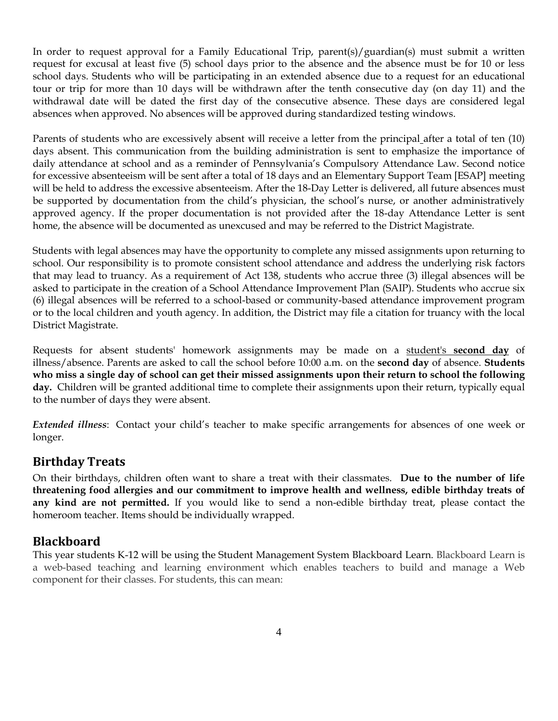In order to request approval for a Family Educational Trip, parent(s)/guardian(s) must submit a written request for excusal at least five (5) school days prior to the absence and the absence must be for 10 or less school days. Students who will be participating in an extended absence due to a request for an educational tour or trip for more than 10 days will be withdrawn after the tenth consecutive day (on day 11) and the withdrawal date will be dated the first day of the consecutive absence. These days are considered legal absences when approved. No absences will be approved during standardized testing windows.

Parents of students who are excessively absent will receive a letter from the principal after a total of ten (10) days absent. This communication from the building administration is sent to emphasize the importance of daily attendance at school and as a reminder of Pennsylvania's Compulsory Attendance Law. Second notice for excessive absenteeism will be sent after a total of 18 days and an Elementary Support Team [ESAP] meeting will be held to address the excessive absenteeism. After the 18-Day Letter is delivered, all future absences must be supported by documentation from the child's physician, the school's nurse, or another administratively approved agency. If the proper documentation is not provided after the 18-day Attendance Letter is sent home, the absence will be documented as unexcused and may be referred to the District Magistrate.

Students with legal absences may have the opportunity to complete any missed assignments upon returning to school. Our responsibility is to promote consistent school attendance and address the underlying risk factors that may lead to truancy. As a requirement of Act 138, students who accrue three (3) illegal absences will be asked to participate in the creation of a School Attendance Improvement Plan (SAIP). Students who accrue six (6) illegal absences will be referred to a school-based or community-based attendance improvement program or to the local children and youth agency. In addition, the District may file a citation for truancy with the local District Magistrate.

Requests for absent students' homework assignments may be made on a student's **second day** of illness/absence. Parents are asked to call the school before 10:00 a.m. on the **second day** of absence. **Students who miss a single day of school can get their missed assignments upon their return to school the following day.** Children will be granted additional time to complete their assignments upon their return, typically equal to the number of days they were absent.

*Extended illness*: Contact your child's teacher to make specific arrangements for absences of one week or longer.

### <span id="page-7-0"></span>**Birthday Treats**

On their birthdays, children often want to share a treat with their classmates. **Due to the number of life threatening food allergies and our commitment to improve health and wellness, edible birthday treats of any kind are not permitted.** If you would like to send a non-edible birthday treat, please contact the homeroom teacher. Items should be individually wrapped.

### <span id="page-7-1"></span>**Blackboard**

This year students K-12 will be using the Student Management System Blackboard Learn. Blackboard Learn is a web-based teaching and learning environment which enables teachers to build and manage a Web component for their classes. For students, this can mean: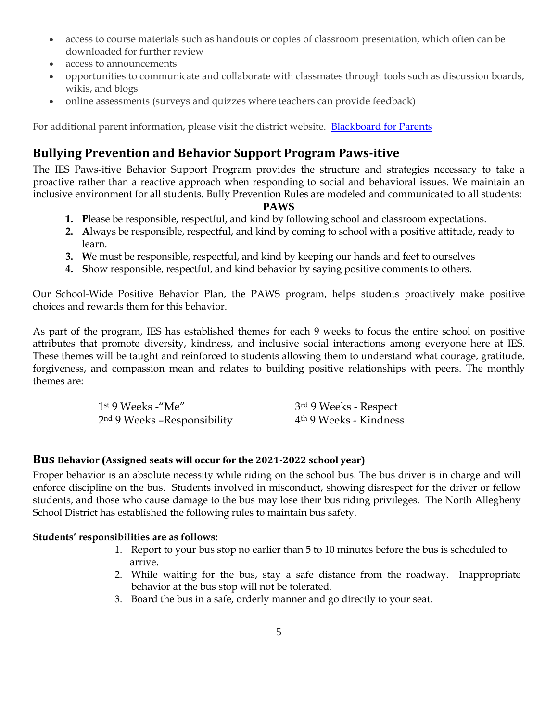- access to course materials such as handouts or copies of classroom presentation, which often can be downloaded for further review
- access to announcements
- opportunities to communicate and collaborate with classmates through tools such as discussion boards, wikis, and blogs
- online assessments (surveys and quizzes where teachers can provide feedback)

For additional parent information, please visit the district website. [Blackboard for Parents](https://www.northallegheny.org/Page/26878)

## **Bullying Prevention and Behavior Support Program Paws-itive**

The IES Paws-itive Behavior Support Program provides the structure and strategies necessary to take a proactive rather than a reactive approach when responding to social and behavioral issues. We maintain an inclusive environment for all students. Bully Prevention Rules are modeled and communicated to all students:

#### **PAWS**

- **1. P**lease be responsible, respectful, and kind by following school and classroom expectations.
- **2. A**lways be responsible, respectful, and kind by coming to school with a positive attitude, ready to learn.
- **3. W**e must be responsible, respectful, and kind by keeping our hands and feet to ourselves
- **4. S**how responsible, respectful, and kind behavior by saying positive comments to others.

Our School-Wide Positive Behavior Plan, the PAWS program, helps students proactively make positive choices and rewards them for this behavior.

As part of the program, IES has established themes for each 9 weeks to focus the entire school on positive attributes that promote diversity, kindness, and inclusive social interactions among everyone here at IES. These themes will be taught and reinforced to students allowing them to understand what courage, gratitude, forgiveness, and compassion mean and relates to building positive relationships with peers. The monthly themes are:

| $1st$ 9 Weeks -"Me"           | 3rd 9 Weeks - Respect              |
|-------------------------------|------------------------------------|
| $2nd$ 9 Weeks -Responsibility | 4 <sup>th</sup> 9 Weeks - Kindness |

#### <span id="page-8-0"></span>**Bus Behavior (Assigned seats will occur for the 2021-2022 school year)**

Proper behavior is an absolute necessity while riding on the school bus. The bus driver is in charge and will enforce discipline on the bus. Students involved in misconduct, showing disrespect for the driver or fellow students, and those who cause damage to the bus may lose their bus riding privileges. The North Allegheny School District has established the following rules to maintain bus safety.

#### **Students' responsibilities are as follows:**

- 1. Report to your bus stop no earlier than 5 to 10 minutes before the bus is scheduled to arrive.
- 2. While waiting for the bus, stay a safe distance from the roadway. Inappropriate behavior at the bus stop will not be tolerated.
- 3. Board the bus in a safe, orderly manner and go directly to your seat.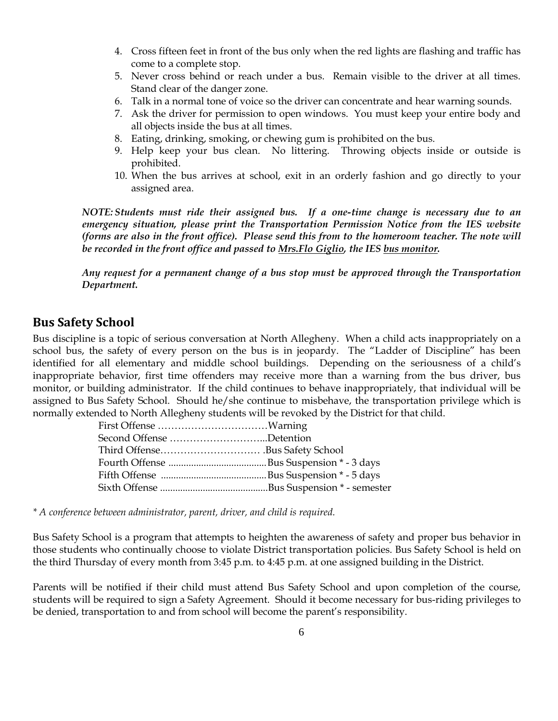- 4. Cross fifteen feet in front of the bus only when the red lights are flashing and traffic has come to a complete stop.
- 5. Never cross behind or reach under a bus. Remain visible to the driver at all times. Stand clear of the danger zone.
- 6. Talk in a normal tone of voice so the driver can concentrate and hear warning sounds.
- 7. Ask the driver for permission to open windows. You must keep your entire body and all objects inside the bus at all times.
- 8. Eating, drinking, smoking, or chewing gum is prohibited on the bus.
- 9. Help keep your bus clean. No littering. Throwing objects inside or outside is prohibited.
- 10. When the bus arrives at school, exit in an orderly fashion and go directly to your assigned area.

*NOTE: Students must ride their assigned bus. If a one-time change is necessary due to an emergency situation, please print the Transportation Permission Notice from the IES website (forms are also in the front office). Please send this from to the homeroom teacher. The note will be recorded in the front office and passed to Mrs.Flo Giglio, the IES bus monitor.*

*Any request for a permanent change of a bus stop must be approved through the Transportation Department.* 

### <span id="page-9-0"></span>**Bus Safety School**

Bus discipline is a topic of serious conversation at North Allegheny. When a child acts inappropriately on a school bus, the safety of every person on the bus is in jeopardy. The "Ladder of Discipline" has been identified for all elementary and middle school buildings. Depending on the seriousness of a child's inappropriate behavior, first time offenders may receive more than a warning from the bus driver, bus monitor, or building administrator. If the child continues to behave inappropriately, that individual will be assigned to Bus Safety School. Should he/she continue to misbehave, the transportation privilege which is normally extended to North Allegheny students will be revoked by the District for that child.

| Second Offense Detention |  |
|--------------------------|--|
|                          |  |
|                          |  |
|                          |  |
|                          |  |
|                          |  |

*\* A conference between administrator, parent, driver, and child is required.*

Bus Safety School is a program that attempts to heighten the awareness of safety and proper bus behavior in those students who continually choose to violate District transportation policies. Bus Safety School is held on the third Thursday of every month from 3:45 p.m. to 4:45 p.m. at one assigned building in the District.

Parents will be notified if their child must attend Bus Safety School and upon completion of the course, students will be required to sign a Safety Agreement. Should it become necessary for bus-riding privileges to be denied, transportation to and from school will become the parent's responsibility.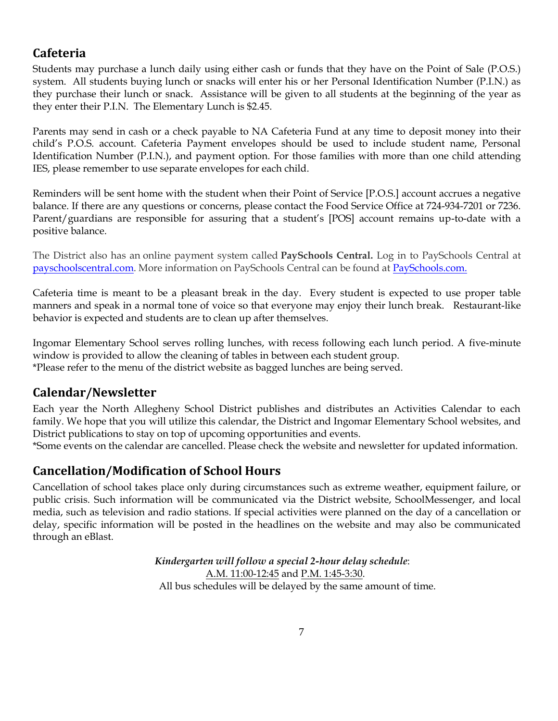## <span id="page-10-0"></span>**Cafeteria**

Students may purchase a lunch daily using either cash or funds that they have on the Point of Sale (P.O.S.) system. All students buying lunch or snacks will enter his or her Personal Identification Number (P.I.N.) as they purchase their lunch or snack. Assistance will be given to all students at the beginning of the year as they enter their P.I.N. The Elementary Lunch is \$2.45.

Parents may send in cash or a check payable to NA Cafeteria Fund at any time to deposit money into their child's P.O.S. account. Cafeteria Payment envelopes should be used to include student name, Personal Identification Number (P.I.N.), and payment option. For those families with more than one child attending IES, please remember to use separate envelopes for each child.

Reminders will be sent home with the student when their Point of Service [P.O.S.] account accrues a negative balance. If there are any questions or concerns, please contact the Food Service Office at 724-934-7201 or 7236. Parent/guardians are responsible for assuring that a student's [POS] account remains up-to-date with a positive balance.

The District also has an online payment system called **PaySchools Central.** Log in to PaySchools Central at [payschoolscentral.](https://www.payschoolscentral.com/#/user/login)com. More information on PaySchools Central can be found at [PaySchools.com.](https://payschools.com/payschools-parents/)

Cafeteria time is meant to be a pleasant break in the day. Every student is expected to use proper table manners and speak in a normal tone of voice so that everyone may enjoy their lunch break. Restaurant-like behavior is expected and students are to clean up after themselves.

Ingomar Elementary School serves rolling lunches, with recess following each lunch period. A five-minute window is provided to allow the cleaning of tables in between each student group. \*Please refer to the menu of the district website as bagged lunches are being served.

## <span id="page-10-1"></span>**Calendar/Newsletter**

Each year the North Allegheny School District publishes and distributes an Activities Calendar to each family. We hope that you will utilize this calendar, the District and Ingomar Elementary School websites, and District publications to stay on top of upcoming opportunities and events.

<span id="page-10-2"></span>\*Some events on the calendar are cancelled. Please check the website and newsletter for updated information.

### **Cancellation/Modification of School Hours**

Cancellation of school takes place only during circumstances such as extreme weather, equipment failure, or public crisis. Such information will be communicated via the District website, SchoolMessenger, and local media, such as television and radio stations. If special activities were planned on the day of a cancellation or delay, specific information will be posted in the headlines on the website and may also be communicated through an eBlast.

> *Kindergarten will follow a special 2-hour delay schedule*: A.M. 11:00-12:45 and P.M. 1:45-3:30. All bus schedules will be delayed by the same amount of time.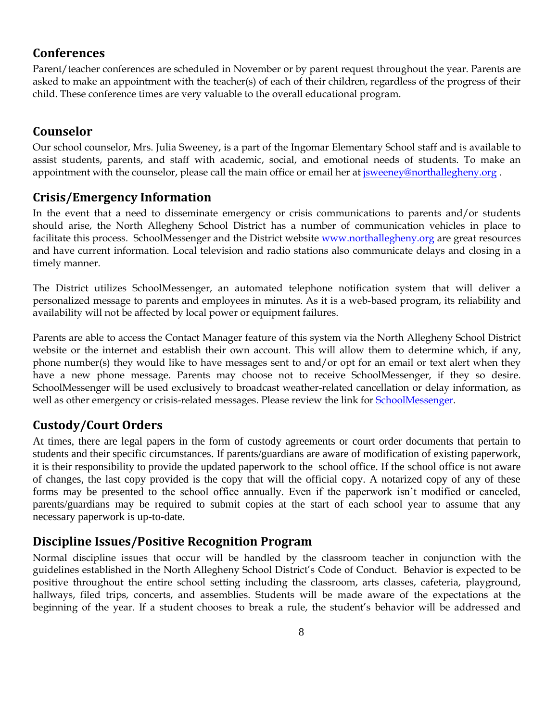### <span id="page-11-0"></span>**Conferences**

Parent/teacher conferences are scheduled in November or by parent request throughout the year. Parents are asked to make an appointment with the teacher(s) of each of their children, regardless of the progress of their child. These conference times are very valuable to the overall educational program.

# <span id="page-11-1"></span>**Counselor**

Our school counselor, Mrs. Julia Sweeney, is a part of the Ingomar Elementary School staff and is available to assist students, parents, and staff with academic, social, and emotional needs of students. To make an appointment with the counselor, please call the main office or email her at *jsweeney@northallegheny.org*.

## <span id="page-11-2"></span>**Crisis/Emergency Information**

In the event that a need to disseminate emergency or crisis communications to parents and/or students should arise, the North Allegheny School District has a number of communication vehicles in place to facilitate this process. SchoolMessenger and the District website [www.northallegheny.org](http://www.northallegheny.org/) are great resources and have current information. Local television and radio stations also communicate delays and closing in a timely manner.

The District utilizes SchoolMessenger, an automated telephone notification system that will deliver a personalized message to parents and employees in minutes. As it is a web-based program, its reliability and availability will not be affected by local power or equipment failures.

Parents are able to access the Contact Manager feature of this system via the North Allegheny School District website or the internet and establish their own account. This will allow them to determine which, if any, phone number(s) they would like to have messages sent to and/or opt for an email or text alert when they have a new phone message. Parents may choose not to receive SchoolMessenger, if they so desire. SchoolMessenger will be used exclusively to broadcast weather-related cancellation or delay information, as well as other emergency or crisis-related messages. Please review the link for **SchoolMessenger**.

## <span id="page-11-3"></span>**Custody/Court Orders**

At times, there are legal papers in the form of custody agreements or court order documents that pertain to students and their specific circumstances. If parents/guardians are aware of modification of existing paperwork, it is their responsibility to provide the updated paperwork to the school office. If the school office is not aware of changes, the last copy provided is the copy that will the official copy. A notarized copy of any of these forms may be presented to the school office annually. Even if the paperwork isn't modified or canceled, parents/guardians may be required to submit copies at the start of each school year to assume that any necessary paperwork is up-to-date.

### <span id="page-11-4"></span>**Discipline Issues/Positive Recognition Program**

Normal discipline issues that occur will be handled by the classroom teacher in conjunction with the guidelines established in the North Allegheny School District's Code of Conduct. Behavior is expected to be positive throughout the entire school setting including the classroom, arts classes, cafeteria, playground, hallways, filed trips, concerts, and assemblies. Students will be made aware of the expectations at the beginning of the year. If a student chooses to break a rule, the student's behavior will be addressed and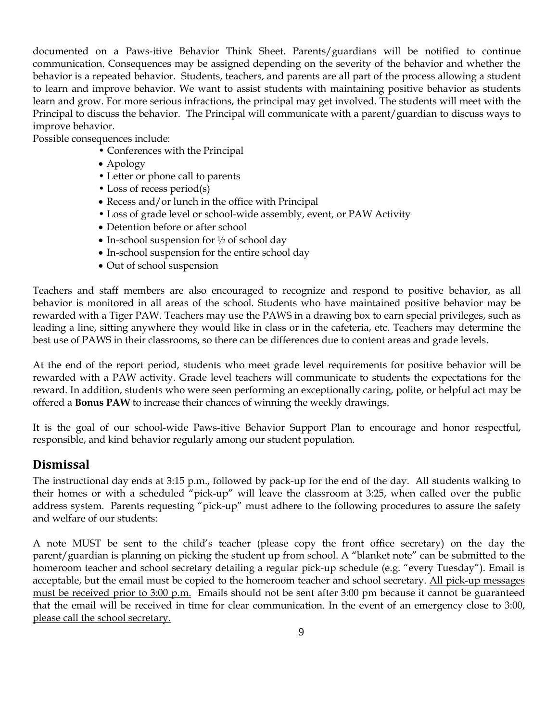documented on a Paws-itive Behavior Think Sheet. Parents/guardians will be notified to continue communication. Consequences may be assigned depending on the severity of the behavior and whether the behavior is a repeated behavior. Students, teachers, and parents are all part of the process allowing a student to learn and improve behavior. We want to assist students with maintaining positive behavior as students learn and grow. For more serious infractions, the principal may get involved. The students will meet with the Principal to discuss the behavior. The Principal will communicate with a parent/guardian to discuss ways to improve behavior.

Possible consequences include:

- Conferences with the Principal
- Apology
- Letter or phone call to parents
- Loss of recess period(s)
- Recess and/or lunch in the office with Principal
- Loss of grade level or school-wide assembly, event, or PAW Activity
- Detention before or after school
- In-school suspension for  $\frac{1}{2}$  of school day
- In-school suspension for the entire school day
- Out of school suspension

Teachers and staff members are also encouraged to recognize and respond to positive behavior, as all behavior is monitored in all areas of the school. Students who have maintained positive behavior may be rewarded with a Tiger PAW. Teachers may use the PAWS in a drawing box to earn special privileges, such as leading a line, sitting anywhere they would like in class or in the cafeteria, etc. Teachers may determine the best use of PAWS in their classrooms, so there can be differences due to content areas and grade levels.

At the end of the report period, students who meet grade level requirements for positive behavior will be rewarded with a PAW activity. Grade level teachers will communicate to students the expectations for the reward. In addition, students who were seen performing an exceptionally caring, polite, or helpful act may be offered a **Bonus PAW** to increase their chances of winning the weekly drawings.

It is the goal of our school-wide Paws-itive Behavior Support Plan to encourage and honor respectful, responsible, and kind behavior regularly among our student population.

### <span id="page-12-0"></span>**Dismissal**

The instructional day ends at 3:15 p.m., followed by pack-up for the end of the day. All students walking to their homes or with a scheduled "pick-up" will leave the classroom at 3:25, when called over the public address system. Parents requesting "pick-up" must adhere to the following procedures to assure the safety and welfare of our students:

A note MUST be sent to the child's teacher (please copy the front office secretary) on the day the parent/guardian is planning on picking the student up from school. A "blanket note" can be submitted to the homeroom teacher and school secretary detailing a regular pick-up schedule (e.g. "every Tuesday"). Email is acceptable, but the email must be copied to the homeroom teacher and school secretary. All pick-up messages must be received prior to 3:00 p.m. Emails should not be sent after 3:00 pm because it cannot be guaranteed that the email will be received in time for clear communication. In the event of an emergency close to 3:00, please call the school secretary.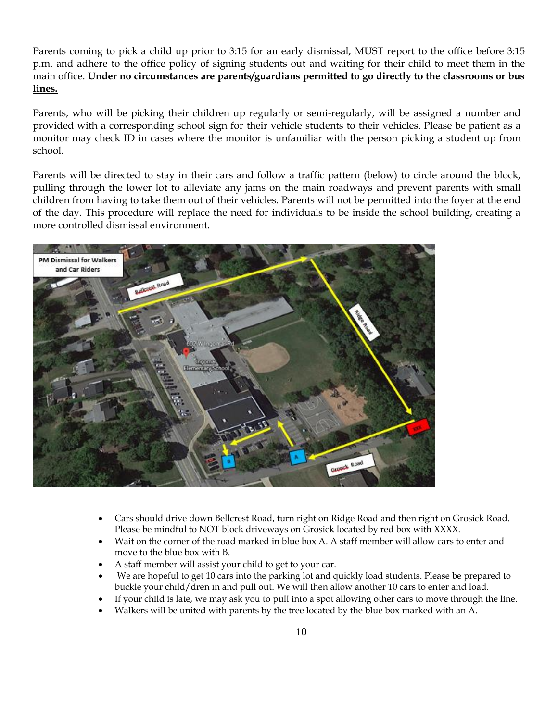Parents coming to pick a child up prior to 3:15 for an early dismissal, MUST report to the office before 3:15 p.m. and adhere to the office policy of signing students out and waiting for their child to meet them in the main office. **Under no circumstances are parents/guardians permitted to go directly to the classrooms or bus lines.**

Parents, who will be picking their children up regularly or semi-regularly, will be assigned a number and provided with a corresponding school sign for their vehicle students to their vehicles. Please be patient as a monitor may check ID in cases where the monitor is unfamiliar with the person picking a student up from school.

Parents will be directed to stay in their cars and follow a traffic pattern (below) to circle around the block, pulling through the lower lot to alleviate any jams on the main roadways and prevent parents with small children from having to take them out of their vehicles. Parents will not be permitted into the foyer at the end of the day. This procedure will replace the need for individuals to be inside the school building, creating a more controlled dismissal environment.



- Cars should drive down Bellcrest Road, turn right on Ridge Road and then right on Grosick Road. Please be mindful to NOT block driveways on Grosick located by red box with XXXX.
- Wait on the corner of the road marked in blue box A. A staff member will allow cars to enter and move to the blue box with B.
- A staff member will assist your child to get to your car.
- We are hopeful to get 10 cars into the parking lot and quickly load students. Please be prepared to buckle your child/dren in and pull out. We will then allow another 10 cars to enter and load.
- If your child is late, we may ask you to pull into a spot allowing other cars to move through the line.
- Walkers will be united with parents by the tree located by the blue box marked with an A.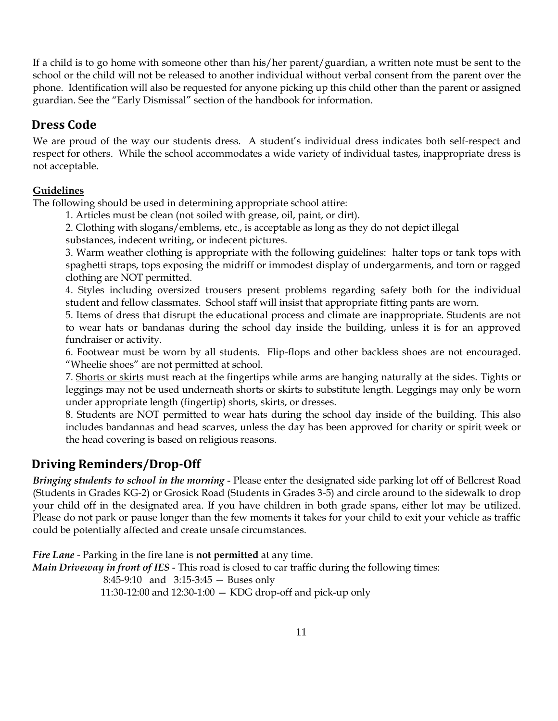If a child is to go home with someone other than his/her parent/guardian, a written note must be sent to the school or the child will not be released to another individual without verbal consent from the parent over the phone. Identification will also be requested for anyone picking up this child other than the parent or assigned guardian. See the "Early Dismissal" section of the handbook for information.

## <span id="page-14-0"></span>**Dress Code**

We are proud of the way our students dress. A student's individual dress indicates both self-respect and respect for others. While the school accommodates a wide variety of individual tastes, inappropriate dress is not acceptable.

#### **Guidelines**

The following should be used in determining appropriate school attire:

- 1. Articles must be clean (not soiled with grease, oil, paint, or dirt).
- 2. Clothing with slogans/emblems, etc., is acceptable as long as they do not depict illegal
- substances, indecent writing, or indecent pictures.

3. Warm weather clothing is appropriate with the following guidelines: halter tops or tank tops with spaghetti straps, tops exposing the midriff or immodest display of undergarments, and torn or ragged clothing are NOT permitted.

4. Styles including oversized trousers present problems regarding safety both for the individual student and fellow classmates. School staff will insist that appropriate fitting pants are worn.

5. Items of dress that disrupt the educational process and climate are inappropriate. Students are not to wear hats or bandanas during the school day inside the building, unless it is for an approved fundraiser or activity.

6. Footwear must be worn by all students. Flip-flops and other backless shoes are not encouraged. "Wheelie shoes" are not permitted at school.

7. Shorts or skirts must reach at the fingertips while arms are hanging naturally at the sides. Tights or leggings may not be used underneath shorts or skirts to substitute length. Leggings may only be worn under appropriate length (fingertip) shorts, skirts, or dresses.

8. Students are NOT permitted to wear hats during the school day inside of the building. This also includes bandannas and head scarves, unless the day has been approved for charity or spirit week or the head covering is based on religious reasons.

## <span id="page-14-1"></span>**Driving Reminders/Drop-Off**

*Bringing students to school in the morning* - Please enter the designated side parking lot off of Bellcrest Road (Students in Grades KG-2) or Grosick Road (Students in Grades 3-5) and circle around to the sidewalk to drop your child off in the designated area. If you have children in both grade spans, either lot may be utilized. Please do not park or pause longer than the few moments it takes for your child to exit your vehicle as traffic could be potentially affected and create unsafe circumstances.

*Fire Lane* - Parking in the fire lane is **not permitted** at any time.

*Main Driveway in front of IES* - This road is closed to car traffic during the following times:

8:45-9:10 and 3:15-3:45 — Buses only

11:30-12:00 and 12:30-1:00 — KDG drop-off and pick-up only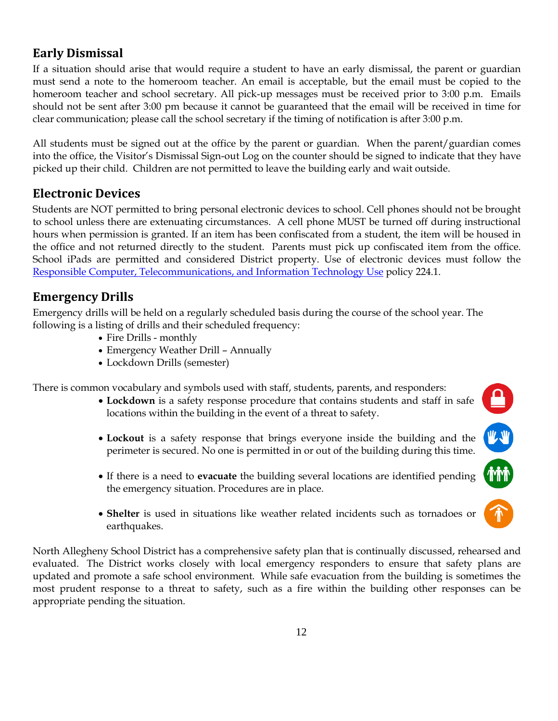### <span id="page-15-0"></span>**Early Dismissal**

If a situation should arise that would require a student to have an early dismissal, the parent or guardian must send a note to the homeroom teacher. An email is acceptable, but the email must be copied to the homeroom teacher and school secretary. All pick-up messages must be received prior to 3:00 p.m. Emails should not be sent after 3:00 pm because it cannot be guaranteed that the email will be received in time for clear communication; please call the school secretary if the timing of notification is after 3:00 p.m.

All students must be signed out at the office by the parent or guardian. When the parent/guardian comes into the office, the Visitor's Dismissal Sign-out Log on the counter should be signed to indicate that they have picked up their child. Children are not permitted to leave the building early and wait outside.

### <span id="page-15-1"></span>**Electronic Devices**

Students are NOT permitted to bring personal electronic devices to school. Cell phones should not be brought to school unless there are extenuating circumstances. A cell phone MUST be turned off during instructional hours when permission is granted. If an item has been confiscated from a student, the item will be housed in the office and not returned directly to the student. Parents must pick up confiscated item from the office. School iPads are permitted and considered District property. Use of electronic devices must follow the [Responsible Computer, Telecommunications, and Information Technology Use](https://www.northallegheny.org/cms/lib9/PA01001119/Centricity/Domain/2184/224.1%20-%20Responsible%20Computer%20Telecommunications%20and%20Information%20Technology%20Use.pdf) policy 224.1.

# <span id="page-15-2"></span>**Emergency Drills**

Emergency drills will be held on a regularly scheduled basis during the course of the school year. The following is a listing of drills and their scheduled frequency:

- Fire Drills monthly
- Emergency Weather Drill Annually
- Lockdown Drills (semester)

There is common vocabulary and symbols used with staff, students, parents, and responders:

• **Lockdown** is a safety response procedure that contains students and staff in safe locations within the building in the event of a threat to safety.

 $\mathbf{\underline{\underline{\mathbf{a}}}}$ 

**MARKET** 

**MM** 

- **Lockout** is a safety response that brings everyone inside the building and the perimeter is secured. No one is permitted in or out of the building during this time.
- If there is a need to **evacuate** the building several locations are identified pending the emergency situation. Procedures are in place.
- **Shelter** is used in situations like weather related incidents such as tornadoes or earthquakes.

North Allegheny School District has a comprehensive safety plan that is continually discussed, rehearsed and evaluated. The District works closely with local emergency responders to ensure that safety plans are updated and promote a safe school environment. While safe evacuation from the building is sometimes the most prudent response to a threat to safety, such as a fire within the building other responses can be appropriate pending the situation.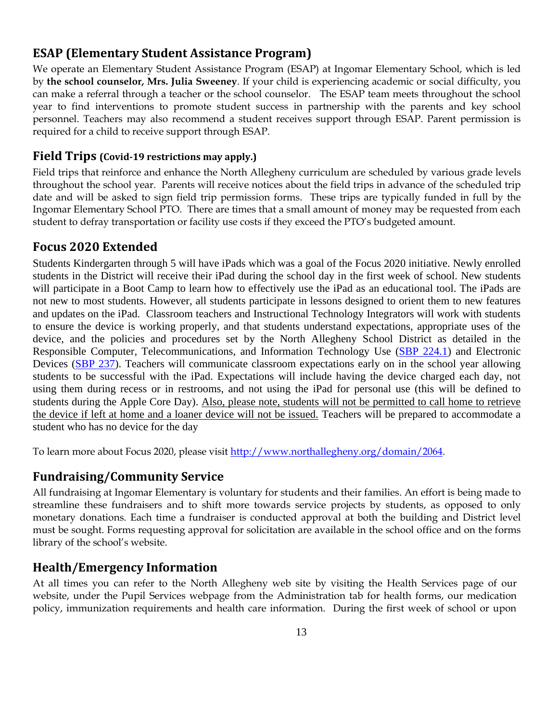### <span id="page-16-0"></span>**ESAP (Elementary Student Assistance Program)**

We operate an Elementary Student Assistance Program (ESAP) at Ingomar Elementary School, which is led by **the school counselor, Mrs. Julia Sweeney**. If your child is experiencing academic or social difficulty, you can make a referral through a teacher or the school counselor. The ESAP team meets throughout the school year to find interventions to promote student success in partnership with the parents and key school personnel. Teachers may also recommend a student receives support through ESAP. Parent permission is required for a child to receive support through ESAP.

#### <span id="page-16-1"></span>**Field Trips (Covid-19 restrictions may apply.)**

Field trips that reinforce and enhance the North Allegheny curriculum are scheduled by various grade levels throughout the school year. Parents will receive notices about the field trips in advance of the scheduled trip date and will be asked to sign field trip permission forms. These trips are typically funded in full by the Ingomar Elementary School PTO. There are times that a small amount of money may be requested from each student to defray transportation or facility use costs if they exceed the PTO's budgeted amount.

#### <span id="page-16-2"></span>**Focus 2020 Extended**

Students Kindergarten through 5 will have iPads which was a goal of the Focus 2020 initiative. Newly enrolled students in the District will receive their iPad during the school day in the first week of school. New students will participate in a Boot Camp to learn how to effectively use the iPad as an educational tool. The iPads are not new to most students. However, all students participate in lessons designed to orient them to new features and updates on the iPad. Classroom teachers and Instructional Technology Integrators will work with students to ensure the device is working properly, and that students understand expectations, appropriate uses of the device, and the policies and procedures set by the North Allegheny School District as detailed in the Responsible Computer, Telecommunications, and Information Technology Use [\(SBP 224.1\)](https://www.northallegheny.org/cms/lib9/PA01001119/Centricity/Domain/2184/224.1%20-%20Responsible%20Computer%20Telecommunications%20and%20Information%20Technology%20Use.pdf) and Electronic Devices [\(SBP 237\)](https://www.northallegheny.org/cms/lib9/PA01001119/Centricity/Domain/2184/237%20-%20Electronic%20Devices.pdf). Teachers will communicate classroom expectations early on in the school year allowing students to be successful with the iPad. Expectations will include having the device charged each day, not using them during recess or in restrooms, and not using the iPad for personal use (this will be defined to students during the Apple Core Day). Also, please note, students will not be permitted to call home to retrieve the device if left at home and a loaner device will not be issued. Teachers will be prepared to accommodate a student who has no device for the day

<span id="page-16-3"></span>To learn more about Focus 2020, please visit [http://www.northallegheny.org/domain/2064.](http://www.northallegheny.org/domain/2064)

#### **Fundraising/Community Service**

All fundraising at Ingomar Elementary is voluntary for students and their families. An effort is being made to streamline these fundraisers and to shift more towards service projects by students, as opposed to only monetary donations. Each time a fundraiser is conducted approval at both the building and District level must be sought. Forms requesting approval for solicitation are available in the school office and on the forms library of the school's website.

#### <span id="page-16-4"></span>**Health/Emergency Information**

At all times you can refer to the North Allegheny web site by visiting the Health Services page of our website, under the Pupil Services webpage from the Administration tab for health forms, our medication policy, immunization requirements and health care information. During the first week of school or upon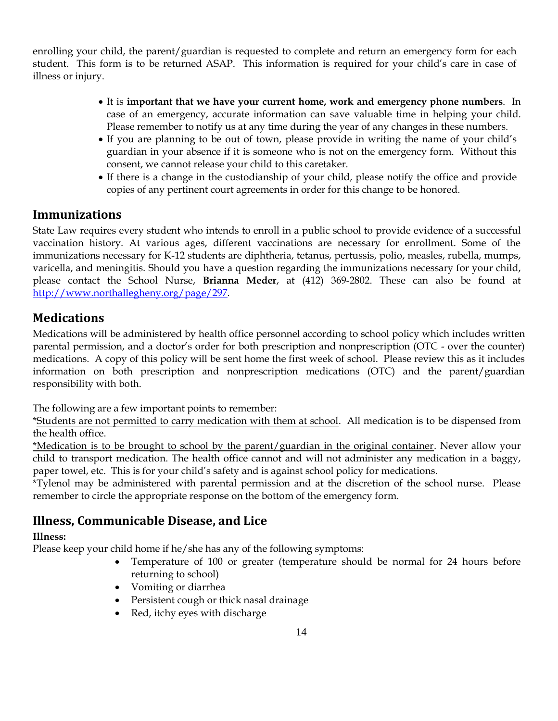enrolling your child, the parent/guardian is requested to complete and return an emergency form for each student. This form is to be returned ASAP. This information is required for your child's care in case of illness or injury.

- It is **important that we have your current home, work and emergency phone numbers**. In case of an emergency, accurate information can save valuable time in helping your child. Please remember to notify us at any time during the year of any changes in these numbers.
- If you are planning to be out of town, please provide in writing the name of your child's guardian in your absence if it is someone who is not on the emergency form. Without this consent, we cannot release your child to this caretaker.
- If there is a change in the custodianship of your child, please notify the office and provide copies of any pertinent court agreements in order for this change to be honored.

### <span id="page-17-0"></span>**Immunizations**

State Law requires every student who intends to enroll in a public school to provide evidence of a successful vaccination history. At various ages, different vaccinations are necessary for enrollment. Some of the immunizations necessary for K-12 students are diphtheria, tetanus, pertussis, polio, measles, rubella, mumps, varicella, and meningitis. Should you have a question regarding the immunizations necessary for your child, please contact the School Nurse, **Brianna Meder**, at (412) 369-2802. These can also be found at [http://www.northallegheny.org/page/297.](http://www.northallegheny.org/page/297)

### <span id="page-17-1"></span>**Medications**

Medications will be administered by health office personnel according to school policy which includes written parental permission, and a doctor's order for both prescription and nonprescription (OTC - over the counter) medications. A copy of this policy will be sent home the first week of school. Please review this as it includes information on both prescription and nonprescription medications (OTC) and the parent/guardian responsibility with both.

The following are a few important points to remember:

\*Students are not permitted to carry medication with them at school. All medication is to be dispensed from the health office.

\*Medication is to be brought to school by the parent/guardian in the original container. Never allow your child to transport medication. The health office cannot and will not administer any medication in a baggy, paper towel, etc. This is for your child's safety and is against school policy for medications.

\*Tylenol may be administered with parental permission and at the discretion of the school nurse. Please remember to circle the appropriate response on the bottom of the emergency form.

### <span id="page-17-2"></span>**Illness, Communicable Disease, and Lice**

#### **Illness:**

Please keep your child home if he/she has any of the following symptoms:

- Temperature of 100 or greater (temperature should be normal for 24 hours before returning to school)
- Vomiting or diarrhea
- Persistent cough or thick nasal drainage
- Red, itchy eyes with discharge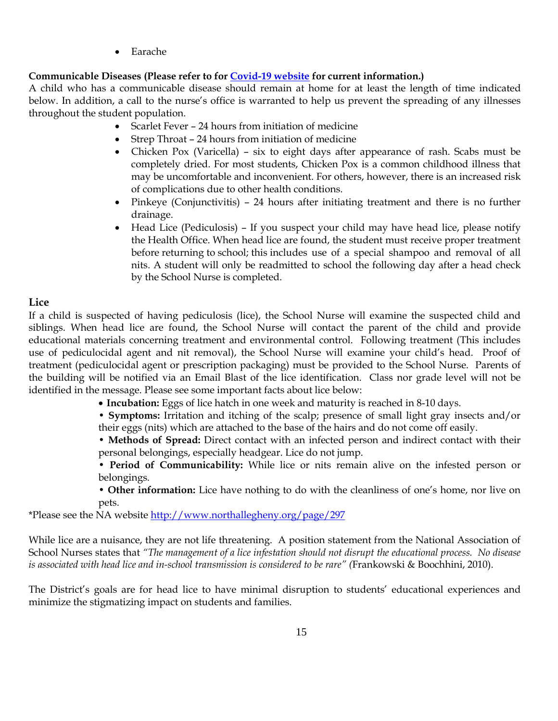• Earache

#### **Communicable Diseases (Please refer to for [Covid-19 website](https://www.northallegheny.org/domain/2722) for current information.)**

A child who has a communicable disease should remain at home for at least the length of time indicated below. In addition, a call to the nurse's office is warranted to help us prevent the spreading of any illnesses throughout the student population.

- Scarlet Fever 24 hours from initiation of medicine
- Strep Throat 24 hours from initiation of medicine
- Chicken Pox (Varicella) six to eight days after appearance of rash. Scabs must be completely dried. For most students, Chicken Pox is a common childhood illness that may be uncomfortable and inconvenient. For others, however, there is an increased risk of complications due to other health conditions.
- Pinkeye (Conjunctivitis) 24 hours after initiating treatment and there is no further drainage.
- Head Lice (Pediculosis) If you suspect your child may have head lice, please notify the Health Office. When head lice are found, the student must receive proper treatment before returning to school; this includes use of a special shampoo and removal of all nits. A student will only be readmitted to school the following day after a head check by the School Nurse is completed.

#### **Lice**

If a child is suspected of having pediculosis (lice), the School Nurse will examine the suspected child and siblings. When head lice are found, the School Nurse will contact the parent of the child and provide educational materials concerning treatment and environmental control. Following treatment (This includes use of pediculocidal agent and nit removal), the School Nurse will examine your child's head. Proof of treatment (pediculocidal agent or prescription packaging) must be provided to the School Nurse. Parents of the building will be notified via an Email Blast of the lice identification. Class nor grade level will not be identified in the message. Please see some important facts about lice below:

- **Incubation:** Eggs of lice hatch in one week and maturity is reached in 8-10 days.
- **Symptoms:** Irritation and itching of the scalp; presence of small light gray insects and/or their eggs (nits) which are attached to the base of the hairs and do not come off easily.

• **Methods of Spread:** Direct contact with an infected person and indirect contact with their personal belongings, especially headgear. Lice do not jump.

• **Period of Communicability:** While lice or nits remain alive on the infested person or belongings.

• **Other information:** Lice have nothing to do with the cleanliness of one's home, nor live on pets.

\*Please see the NA website<http://www.northallegheny.org/page/297>

While lice are a nuisance, they are not life threatening. A position statement from the National Association of School Nurses states that *"The management of a lice infestation should not disrupt the educational process. No disease is associated with head lice and in-school transmission is considered to be rare" (*Frankowski & Boochhini, 2010).

The District's goals are for head lice to have minimal disruption to students' educational experiences and minimize the stigmatizing impact on students and families.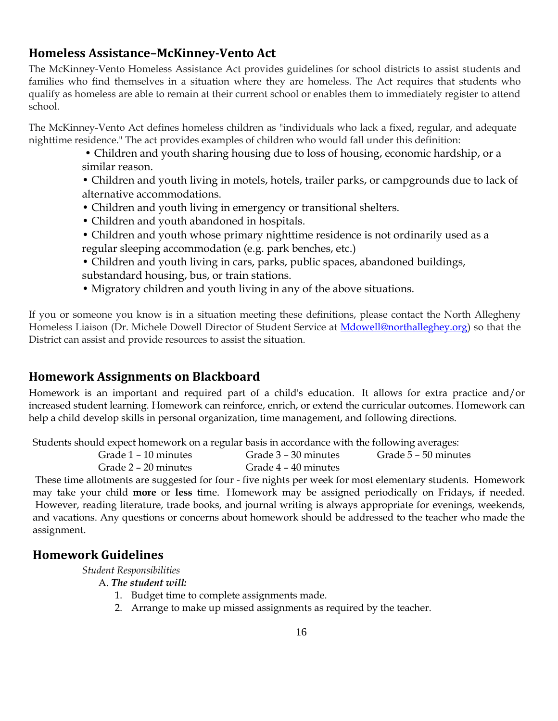### <span id="page-19-0"></span>**Homeless Assistance–McKinney-Vento Act**

The McKinney-Vento Homeless Assistance Act provides guidelines for school districts to assist students and families who find themselves in a situation where they are homeless. The Act requires that students who qualify as homeless are able to remain at their current school or enables them to immediately register to attend school.

The McKinney-Vento Act defines homeless children as "individuals who lack a fixed, regular, and adequate nighttime residence." The act provides examples of children who would fall under this definition:

> • Children and youth sharing housing due to loss of housing, economic hardship, or a similar reason.

• Children and youth living in motels, hotels, trailer parks, or campgrounds due to lack of alternative accommodations.

- Children and youth living in emergency or transitional shelters.
- Children and youth abandoned in hospitals.
- Children and youth whose primary nighttime residence is not ordinarily used as a regular sleeping accommodation (e.g. park benches, etc.)
- Children and youth living in cars, parks, public spaces, abandoned buildings, substandard housing, bus, or train stations.
- Migratory children and youth living in any of the above situations.

If you or someone you know is in a situation meeting these definitions, please contact the North Allegheny Homeless Liaison (Dr. Michele Dowell Director of Student Service at [Mdowell@northalleghey.org\)](mailto:Mdowell@northalleghey.org) so that the District can assist and provide resources to assist the situation.

### <span id="page-19-1"></span>**Homework Assignments on Blackboard**

Homework is an important and required part of a child's education. It allows for extra practice and/or increased student learning. Homework can reinforce, enrich, or extend the curricular outcomes. Homework can help a child develop skills in personal organization, time management, and following directions.

Students should expect homework on a regular basis in accordance with the following averages:

| Grade 1 – 10 minutes | Grade 3 – 30 minutes | Grade 5 – 50 minutes |
|----------------------|----------------------|----------------------|
| Grade 2 – 20 minutes | Grade 4 – 40 minutes |                      |

These time allotments are suggested for four - five nights per week for most elementary students. Homework may take your child **more** or **less** time. Homework may be assigned periodically on Fridays, if needed. However, reading literature, trade books, and journal writing is always appropriate for evenings, weekends, and vacations. Any questions or concerns about homework should be addressed to the teacher who made the assignment.

### <span id="page-19-2"></span>**Homework Guidelines**

*Student Responsibilities*

- A. *The student will:*
	- 1. Budget time to complete assignments made.
	- 2. Arrange to make up missed assignments as required by the teacher.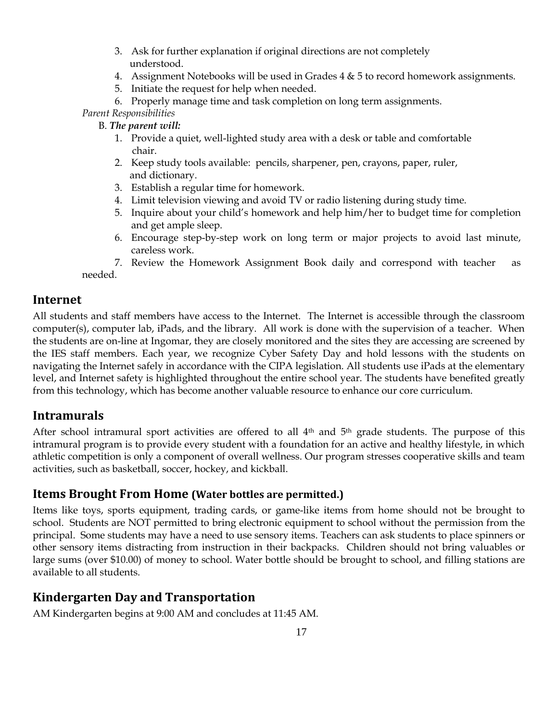- 3. Ask for further explanation if original directions are not completely understood.
- 4. Assignment Notebooks will be used in Grades 4 & 5 to record homework assignments.
- 5. Initiate the request for help when needed.
- 6. Properly manage time and task completion on long term assignments.

*Parent Responsibilities*

- B. *The parent will:*
	- 1. Provide a quiet, well-lighted study area with a desk or table and comfortable chair.
	- 2. Keep study tools available: pencils, sharpener, pen, crayons, paper, ruler, and dictionary.
	- 3. Establish a regular time for homework.
	- 4. Limit television viewing and avoid TV or radio listening during study time.
	- 5. Inquire about your child's homework and help him/her to budget time for completion and get ample sleep.
	- 6. Encourage step-by-step work on long term or major projects to avoid last minute, careless work.
- 7. Review the Homework Assignment Book daily and correspond with teacher as needed.

### <span id="page-20-0"></span>**Internet**

All students and staff members have access to the Internet. The Internet is accessible through the classroom computer(s), computer lab, iPads, and the library. All work is done with the supervision of a teacher. When the students are on-line at Ingomar, they are closely monitored and the sites they are accessing are screened by the IES staff members. Each year, we recognize Cyber Safety Day and hold lessons with the students on navigating the Internet safely in accordance with the CIPA legislation. All students use iPads at the elementary level, and Internet safety is highlighted throughout the entire school year. The students have benefited greatly from this technology, which has become another valuable resource to enhance our core curriculum.

### <span id="page-20-1"></span>**Intramurals**

After school intramural sport activities are offered to all 4th and 5th grade students. The purpose of this intramural program is to provide every student with a foundation for an active and healthy lifestyle, in which athletic competition is only a component of overall wellness. Our program stresses cooperative skills and team activities, such as basketball, soccer, hockey, and kickball.

### <span id="page-20-2"></span>**Items Brought From Home (Water bottles are permitted.)**

Items like toys, sports equipment, trading cards, or game-like items from home should not be brought to school. Students are NOT permitted to bring electronic equipment to school without the permission from the principal. Some students may have a need to use sensory items. Teachers can ask students to place spinners or other sensory items distracting from instruction in their backpacks. Children should not bring valuables or large sums (over \$10.00) of money to school. Water bottle should be brought to school, and filling stations are available to all students.

## <span id="page-20-3"></span>**Kindergarten Day and Transportation**

AM Kindergarten begins at 9:00 AM and concludes at 11:45 AM.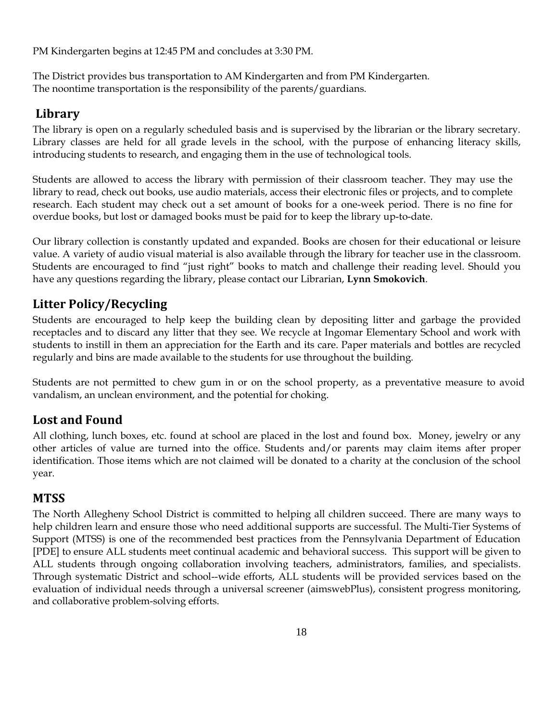PM Kindergarten begins at 12:45 PM and concludes at 3:30 PM.

The District provides bus transportation to AM Kindergarten and from PM Kindergarten. The noontime transportation is the responsibility of the parents/guardians.

# <span id="page-21-0"></span>**Library**

The library is open on a regularly scheduled basis and is supervised by the librarian or the library secretary. Library classes are held for all grade levels in the school, with the purpose of enhancing literacy skills, introducing students to research, and engaging them in the use of technological tools.

Students are allowed to access the library with permission of their classroom teacher. They may use the library to read, check out books, use audio materials, access their electronic files or projects, and to complete research. Each student may check out a set amount of books for a one-week period. There is no fine for overdue books, but lost or damaged books must be paid for to keep the library up-to-date.

Our library collection is constantly updated and expanded. Books are chosen for their educational or leisure value. A variety of audio visual material is also available through the library for teacher use in the classroom. Students are encouraged to find "just right" books to match and challenge their reading level. Should you have any questions regarding the library, please contact our Librarian, **Lynn Smokovich**.

# <span id="page-21-1"></span>**Litter Policy/Recycling**

Students are encouraged to help keep the building clean by depositing litter and garbage the provided receptacles and to discard any litter that they see. We recycle at Ingomar Elementary School and work with students to instill in them an appreciation for the Earth and its care. Paper materials and bottles are recycled regularly and bins are made available to the students for use throughout the building.

Students are not permitted to chew gum in or on the school property, as a preventative measure to avoid vandalism, an unclean environment, and the potential for choking.

## <span id="page-21-2"></span>**Lost and Found**

All clothing, lunch boxes, etc. found at school are placed in the lost and found box. Money, jewelry or any other articles of value are turned into the office. Students and/or parents may claim items after proper identification. Those items which are not claimed will be donated to a charity at the conclusion of the school year.

## <span id="page-21-3"></span>**MTSS**

The North Allegheny School District is committed to helping all children succeed. There are many ways to help children learn and ensure those who need additional supports are successful. The Multi-Tier Systems of Support (MTSS) is one of the recommended best practices from the Pennsylvania Department of Education [PDE] to ensure ALL students meet continual academic and behavioral success. This support will be given to ALL students through ongoing collaboration involving teachers, administrators, families, and specialists. Through systematic District and school--wide efforts, ALL students will be provided services based on the evaluation of individual needs through a universal screener (aimswebPlus), consistent progress monitoring, and collaborative problem-solving efforts.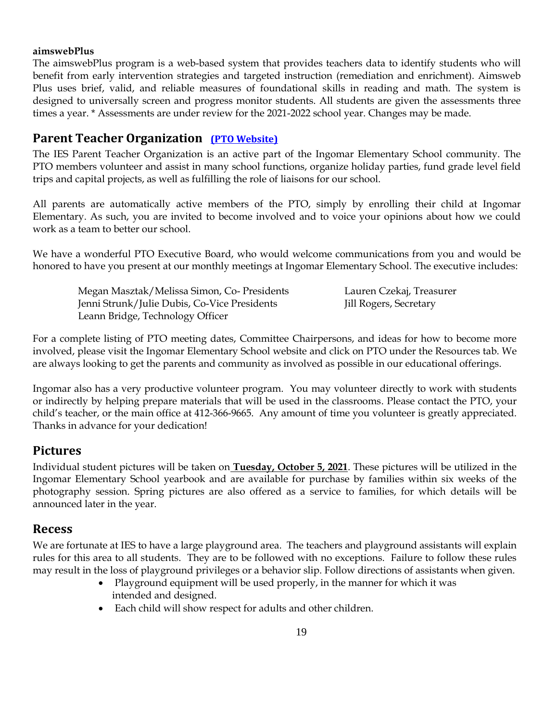#### **aimswebPlus**

The aimswebPlus program is a web-based system that provides teachers data to identify students who will benefit from early intervention strategies and targeted instruction (remediation and enrichment). Aimsweb Plus uses brief, valid, and reliable measures of foundational skills in reading and math. The system is designed to universally screen and progress monitor students. All students are given the assessments three times a year. \* Assessments are under review for the 2021-2022 school year. Changes may be made.

### <span id="page-22-0"></span>**Parent Teacher Organization [\(PTO Website\)](https://ingomarpto.membershiptoolkit.com/)**

The IES Parent Teacher Organization is an active part of the Ingomar Elementary School community. The PTO members volunteer and assist in many school functions, organize holiday parties, fund grade level field trips and capital projects, as well as fulfilling the role of liaisons for our school.

All parents are automatically active members of the PTO, simply by enrolling their child at Ingomar Elementary. As such, you are invited to become involved and to voice your opinions about how we could work as a team to better our school.

We have a wonderful PTO Executive Board, who would welcome communications from you and would be honored to have you present at our monthly meetings at Ingomar Elementary School. The executive includes:

 Megan Masztak/Melissa Simon, Co- Presidents Lauren Czekaj, Treasurer Jenni Strunk/Julie Dubis, Co-Vice Presidents Jill Rogers, Secretary Leann Bridge, Technology Officer

For a complete listing of PTO meeting dates, Committee Chairpersons, and ideas for how to become more involved, please visit the Ingomar Elementary School website and click on PTO under the Resources tab. We are always looking to get the parents and community as involved as possible in our educational offerings.

Ingomar also has a very productive volunteer program. You may volunteer directly to work with students or indirectly by helping prepare materials that will be used in the classrooms. Please contact the PTO, your child's teacher, or the main office at 412-366-9665. Any amount of time you volunteer is greatly appreciated. Thanks in advance for your dedication!

### <span id="page-22-1"></span>**Pictures**

Individual student pictures will be taken on **Tuesday, October 5, 2021**. These pictures will be utilized in the Ingomar Elementary School yearbook and are available for purchase by families within six weeks of the photography session. Spring pictures are also offered as a service to families, for which details will be announced later in the year.

#### <span id="page-22-2"></span>**Recess**

We are fortunate at IES to have a large playground area. The teachers and playground assistants will explain rules for this area to all students. They are to be followed with no exceptions. Failure to follow these rules may result in the loss of playground privileges or a behavior slip. Follow directions of assistants when given.

- Playground equipment will be used properly, in the manner for which it was intended and designed.
- Each child will show respect for adults and other children.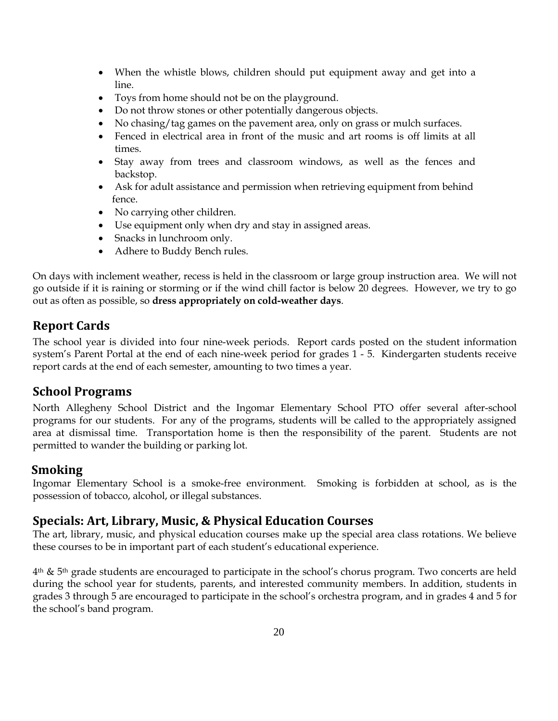- When the whistle blows, children should put equipment away and get into a line.
- Toys from home should not be on the playground.
- Do not throw stones or other potentially dangerous objects.
- No chasing/tag games on the pavement area, only on grass or mulch surfaces.
- Fenced in electrical area in front of the music and art rooms is off limits at all times.
- Stay away from trees and classroom windows, as well as the fences and backstop.
- Ask for adult assistance and permission when retrieving equipment from behind fence.
- No carrying other children.
- Use equipment only when dry and stay in assigned areas.
- Snacks in lunchroom only.
- Adhere to Buddy Bench rules.

On days with inclement weather, recess is held in the classroom or large group instruction area. We will not go outside if it is raining or storming or if the wind chill factor is below 20 degrees. However, we try to go out as often as possible, so **dress appropriately on cold-weather days**.

### <span id="page-23-0"></span>**Report Cards**

The school year is divided into four nine-week periods. Report cards posted on the student information system's Parent Portal at the end of each nine-week period for grades 1 - 5. Kindergarten students receive report cards at the end of each semester, amounting to two times a year.

### <span id="page-23-1"></span>**School Programs**

North Allegheny School District and the Ingomar Elementary School PTO offer several after-school programs for our students. For any of the programs, students will be called to the appropriately assigned area at dismissal time. Transportation home is then the responsibility of the parent. Students are not permitted to wander the building or parking lot.

### <span id="page-23-2"></span>**Smoking**

Ingomar Elementary School is a smoke-free environment. Smoking is forbidden at school, as is the possession of tobacco, alcohol, or illegal substances.

### <span id="page-23-3"></span>**Specials: Art, Library, Music, & Physical Education Courses**

The art, library, music, and physical education courses make up the special area class rotations. We believe these courses to be in important part of each student's educational experience.

 $4<sup>th</sup>$  & 5<sup>th</sup> grade students are encouraged to participate in the school's chorus program. Two concerts are held during the school year for students, parents, and interested community members. In addition, students in grades 3 through 5 are encouraged to participate in the school's orchestra program, and in grades 4 and 5 for the school's band program.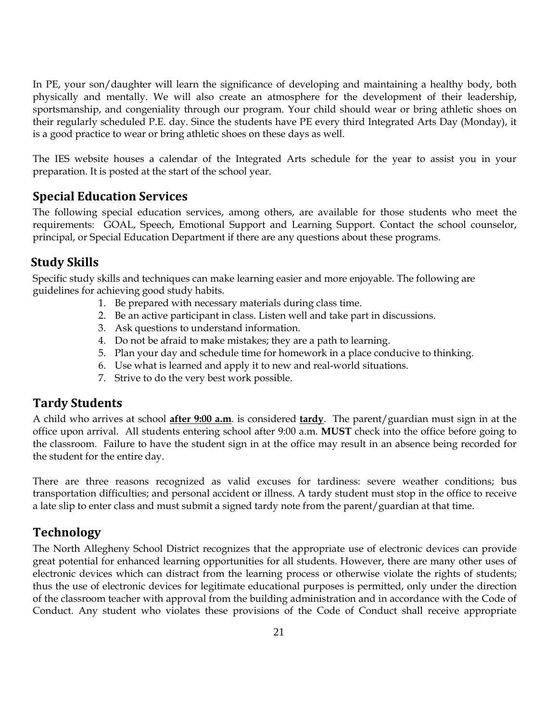In PE, your son/daughter will learn the significance of developing and maintaining a healthy body, both physically and mentally. We will also create an atmosphere for the development of their leadership, sportsmanship, and congeniality through our program. Your child should wear or bring athletic shoes on their regularly scheduled P.E. day. Since the students have PE every third Integrated Arts Day (Monday), it is a good practice to wear or bring athletic shoes on these days as well.

The IES website houses a calendar of the Integrated Arts schedule for the year to assist you in your preparation. It is posted at the start of the school year.

#### <span id="page-24-0"></span>**Special Education Services**

The following special education services, among others, are available for those students who meet the requirements: GOAL, Speech, Emotional Support and Learning Support. Contact the school counselor, principal, or Special Education Department if there are any questions about these programs.

### <span id="page-24-1"></span>**Study Skills**

Specific study skills and techniques can make learning easier and more enjoyable. The following are guidelines for achieving good study habits.

- 1. Be prepared with necessary materials during class time.
- 2. Be an active participant in class. Listen well and take part in discussions.
- 3. Ask questions to understand information.
- 4. Do not be afraid to make mistakes; they are a path to learning.
- 5. Plan your day and schedule time for homework in a place conducive to thinking.
- 6. Use what is learned and apply it to new and real-world situations.
- 7. Strive to do the very best work possible.

#### <span id="page-24-2"></span>**Tardy Students**

A child who arrives at school **after 9:00 a.m**. is considered **tardy**. The parent/guardian must sign in at the office upon arrival. All students entering school after 9:00 a.m. **MUST** check into the office before going to the classroom. Failure to have the student sign in at the office may result in an absence being recorded for the student for the entire day.

There are three reasons recognized as valid excuses for tardiness: severe weather conditions; bus transportation difficulties; and personal accident or illness. A tardy student must stop in the office to receive a late slip to enter class and must submit a signed tardy note from the parent/guardian at that time.

### <span id="page-24-3"></span>**Technology**

The North Allegheny School District recognizes that the appropriate use of electronic devices can provide great potential for enhanced learning opportunities for all students. However, there are many other uses of electronic devices which can distract from the learning process or otherwise violate the rights of students; thus the use of electronic devices for legitimate educational purposes is permitted, only under the direction of the classroom teacher with approval from the building administration and in accordance with the Code of Conduct. Any student who violates these provisions of the Code of Conduct shall receive appropriate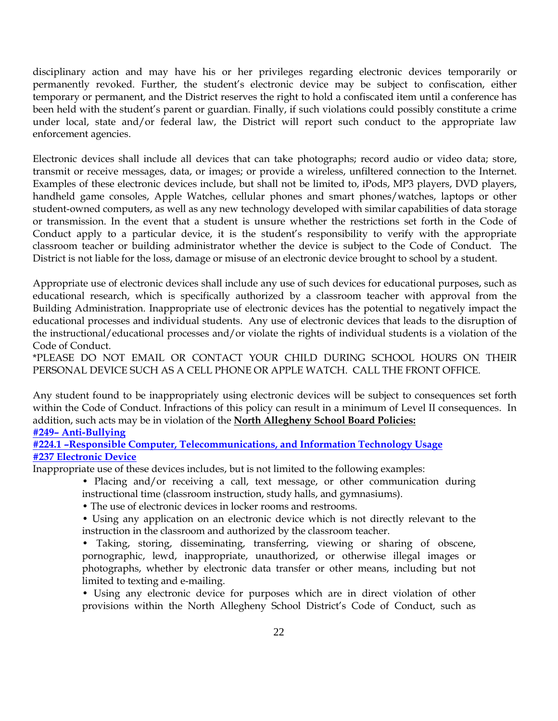disciplinary action and may have his or her privileges regarding electronic devices temporarily or permanently revoked. Further, the student's electronic device may be subject to confiscation, either temporary or permanent, and the District reserves the right to hold a confiscated item until a conference has been held with the student's parent or guardian. Finally, if such violations could possibly constitute a crime under local, state and/or federal law, the District will report such conduct to the appropriate law enforcement agencies.

Electronic devices shall include all devices that can take photographs; record audio or video data; store, transmit or receive messages, data, or images; or provide a wireless, unfiltered connection to the Internet. Examples of these electronic devices include, but shall not be limited to, iPods, MP3 players, DVD players, handheld game consoles, Apple Watches, cellular phones and smart phones/watches, laptops or other student-owned computers, as well as any new technology developed with similar capabilities of data storage or transmission. In the event that a student is unsure whether the restrictions set forth in the Code of Conduct apply to a particular device, it is the student's responsibility to verify with the appropriate classroom teacher or building administrator whether the device is subject to the Code of Conduct. The District is not liable for the loss, damage or misuse of an electronic device brought to school by a student.

Appropriate use of electronic devices shall include any use of such devices for educational purposes, such as educational research, which is specifically authorized by a classroom teacher with approval from the Building Administration. Inappropriate use of electronic devices has the potential to negatively impact the educational processes and individual students. Any use of electronic devices that leads to the disruption of the instructional/educational processes and/or violate the rights of individual students is a violation of the Code of Conduct.

\*PLEASE DO NOT EMAIL OR CONTACT YOUR CHILD DURING SCHOOL HOURS ON THEIR PERSONAL DEVICE SUCH AS A CELL PHONE OR APPLE WATCH. CALL THE FRONT OFFICE.

Any student found to be inappropriately using electronic devices will be subject to consequences set forth within the Code of Conduct. Infractions of this policy can result in a minimum of Level II consequences. In addition, such acts may be in violation of the **North Allegheny School Board Policies:**

#### **#249– [Anti-Bullying](https://www.northallegheny.org/cms/lib9/PA01001119/Centricity/Domain/2184/249%20-%20Anti-Bullying%20-%20Final.pdf)**

**#224.1 –[Responsible Computer, Telecommunications, and Information Technology Usage](https://www.northallegheny.org/cms/lib9/PA01001119/Centricity/Domain/2184/224.1%20-%20Responsible%20Computer%20Telecommunications%20and%20Information%20Technology%20Use.pdf) [#237 Electronic Device](https://www.northallegheny.org/cms/lib9/PA01001119/Centricity/Domain/2184/237%20-%20Electronic%20Devices.pdf)**

Inappropriate use of these devices includes, but is not limited to the following examples:

- Placing and/or receiving a call, text message, or other communication during instructional time (classroom instruction, study halls, and gymnasiums).
- The use of electronic devices in locker rooms and restrooms.
- Using any application on an electronic device which is not directly relevant to the instruction in the classroom and authorized by the classroom teacher.

• Taking, storing, disseminating, transferring, viewing or sharing of obscene, pornographic, lewd, inappropriate, unauthorized, or otherwise illegal images or photographs, whether by electronic data transfer or other means, including but not limited to texting and e-mailing.

• Using any electronic device for purposes which are in direct violation of other provisions within the North Allegheny School District's Code of Conduct, such as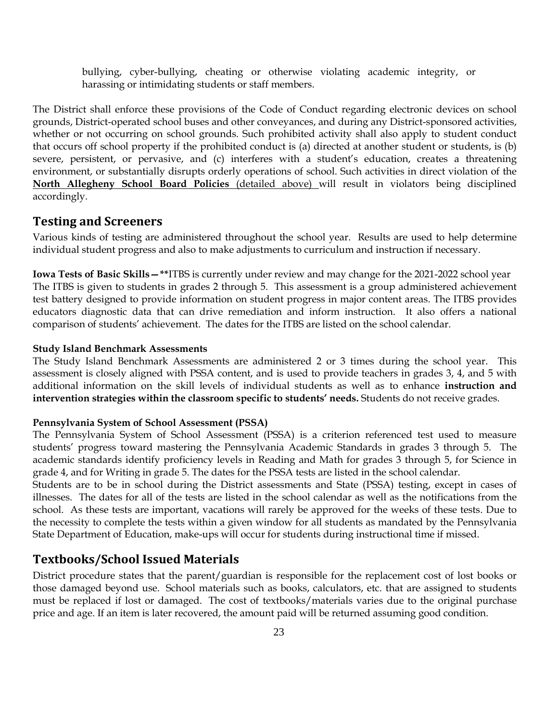bullying, cyber-bullying, cheating or otherwise violating academic integrity, or harassing or intimidating students or staff members.

The District shall enforce these provisions of the Code of Conduct regarding electronic devices on school grounds, District-operated school buses and other conveyances, and during any District-sponsored activities, whether or not occurring on school grounds. Such prohibited activity shall also apply to student conduct that occurs off school property if the prohibited conduct is (a) directed at another student or students, is (b) severe, persistent, or pervasive, and (c) interferes with a student's education, creates a threatening environment, or substantially disrupts orderly operations of school. Such activities in direct violation of the **North Allegheny School Board Policies** (detailed above) will result in violators being disciplined accordingly.

#### <span id="page-26-0"></span>**Testing and Screeners**

Various kinds of testing are administered throughout the school year. Results are used to help determine individual student progress and also to make adjustments to curriculum and instruction if necessary.

**Iowa Tests of Basic Skills—\*\***ITBS is currently under review and may change for the 2021-2022 school year The ITBS is given to students in grades 2 through 5. This assessment is a group administered achievement test battery designed to provide information on student progress in major content areas. The ITBS provides educators diagnostic data that can drive remediation and inform instruction. It also offers a national comparison of students' achievement. The dates for the ITBS are listed on the school calendar.

#### **Study Island Benchmark Assessments**

The Study Island Benchmark Assessments are administered 2 or 3 times during the school year. This assessment is closely aligned with PSSA content, and is used to provide teachers in grades 3, 4, and 5 with additional information on the skill levels of individual students as well as to enhance **instruction and intervention strategies within the classroom specific to students' needs.** Students do not receive grades.

#### **Pennsylvania System of School Assessment (PSSA)**

The Pennsylvania System of School Assessment (PSSA) is a criterion referenced test used to measure students' progress toward mastering the Pennsylvania Academic Standards in grades 3 through 5. The academic standards identify proficiency levels in Reading and Math for grades 3 through 5, for Science in grade 4, and for Writing in grade 5. The dates for the PSSA tests are listed in the school calendar.

Students are to be in school during the District assessments and State (PSSA) testing, except in cases of illnesses. The dates for all of the tests are listed in the school calendar as well as the notifications from the school. As these tests are important, vacations will rarely be approved for the weeks of these tests. Due to the necessity to complete the tests within a given window for all students as mandated by the Pennsylvania State Department of Education, make-ups will occur for students during instructional time if missed.

#### <span id="page-26-1"></span>**Textbooks/School Issued Materials**

District procedure states that the parent/guardian is responsible for the replacement cost of lost books or those damaged beyond use. School materials such as books, calculators, etc. that are assigned to students must be replaced if lost or damaged. The cost of textbooks/materials varies due to the original purchase price and age. If an item is later recovered, the amount paid will be returned assuming good condition.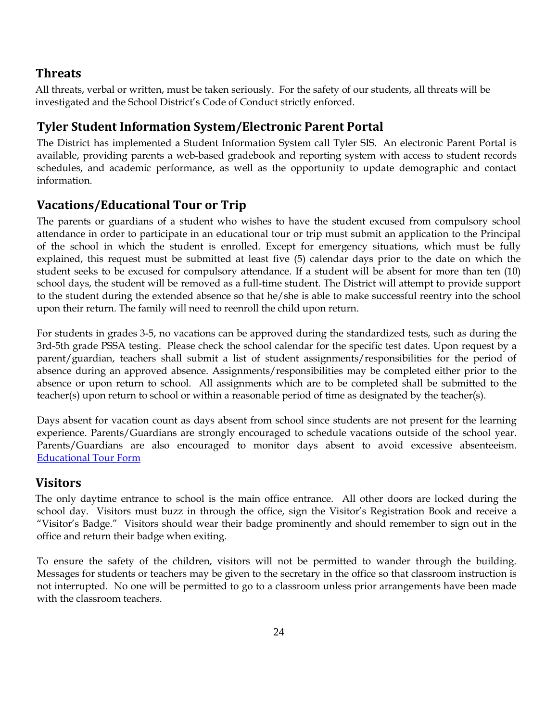### <span id="page-27-0"></span>**Threats**

All threats, verbal or written, must be taken seriously. For the safety of our students, all threats will be investigated and the School District's Code of Conduct strictly enforced.

## <span id="page-27-1"></span>**Tyler Student Information System/Electronic Parent Portal**

The District has implemented a Student Information System call Tyler SIS. An electronic Parent Portal is available, providing parents a web-based gradebook and reporting system with access to student records schedules, and academic performance, as well as the opportunity to update demographic and contact information.

## <span id="page-27-2"></span>**Vacations/Educational Tour or Trip**

The parents or guardians of a student who wishes to have the student excused from compulsory school attendance in order to participate in an educational tour or trip must submit an application to the Principal of the school in which the student is enrolled. Except for emergency situations, which must be fully explained, this request must be submitted at least five (5) calendar days prior to the date on which the student seeks to be excused for compulsory attendance. If a student will be absent for more than ten (10) school days, the student will be removed as a full-time student. The District will attempt to provide support to the student during the extended absence so that he/she is able to make successful reentry into the school upon their return. The family will need to reenroll the child upon return.

For students in grades 3-5, no vacations can be approved during the standardized tests, such as during the 3rd-5th grade PSSA testing. Please check the school calendar for the specific test dates. Upon request by a parent/guardian, teachers shall submit a list of student assignments/responsibilities for the period of absence during an approved absence. Assignments/responsibilities may be completed either prior to the absence or upon return to school. All assignments which are to be completed shall be submitted to the teacher(s) upon return to school or within a reasonable period of time as designated by the teacher(s).

Days absent for vacation count as days absent from school since students are not present for the learning experience. Parents/Guardians are strongly encouraged to schedule vacations outside of the school year. Parents/Guardians are also encouraged to monitor days absent to avoid excessive absenteeism. [Educational Tour Form](http://www.northallegheny.org/cms/lib9/PA01001119/Centricity/Domain/1970/170120_Elementary%20StudentApplicationFor%20EducationalTourOrTrip.pdf)

### <span id="page-27-3"></span>**Visitors**

The only daytime entrance to school is the main office entrance. All other doors are locked during the school day. Visitors must buzz in through the office, sign the Visitor's Registration Book and receive a "Visitor's Badge." Visitors should wear their badge prominently and should remember to sign out in the office and return their badge when exiting.

To ensure the safety of the children, visitors will not be permitted to wander through the building. Messages for students or teachers may be given to the secretary in the office so that classroom instruction is not interrupted. No one will be permitted to go to a classroom unless prior arrangements have been made with the classroom teachers.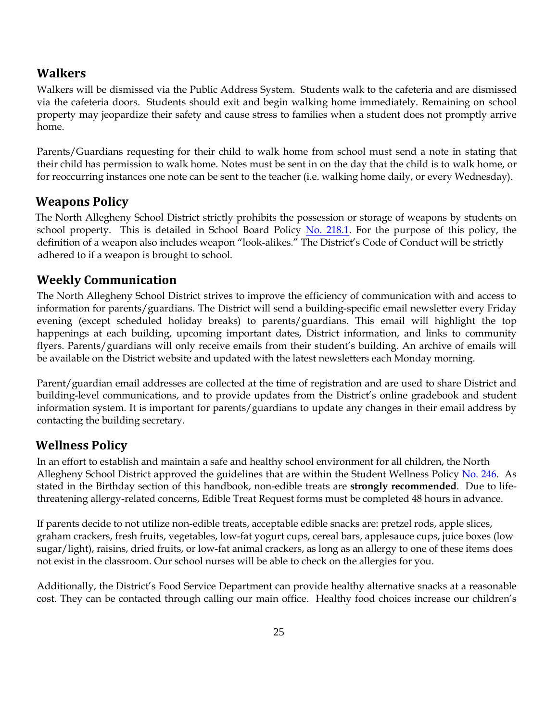### <span id="page-28-0"></span>**Walkers**

Walkers will be dismissed via the Public Address System. Students walk to the cafeteria and are dismissed via the cafeteria doors. Students should exit and begin walking home immediately. Remaining on school property may jeopardize their safety and cause stress to families when a student does not promptly arrive home.

Parents/Guardians requesting for their child to walk home from school must send a note in stating that their child has permission to walk home. Notes must be sent in on the day that the child is to walk home, or for reoccurring instances one note can be sent to the teacher (i.e. walking home daily, or every Wednesday).

### <span id="page-28-1"></span>**Weapons Policy**

The North Allegheny School District strictly prohibits the possession or storage of weapons by students on school property. This is detailed in School Board Policy [No. 218.1.](https://www.northallegheny.org/cms/lib9/PA01001119/Centricity/Domain/2184/218.1-Weapons_170322.pdf) For the purpose of this policy, the definition of a weapon also includes weapon "look-alikes." The District's Code of Conduct will be strictly adhered to if a weapon is brought to school.

### <span id="page-28-2"></span>**Weekly Communication**

The North Allegheny School District strives to improve the efficiency of communication with and access to information for parents/guardians. The District will send a building-specific email newsletter every Friday evening (except scheduled holiday breaks) to parents/guardians. This email will highlight the top happenings at each building, upcoming important dates, District information, and links to community flyers. Parents/guardians will only receive emails from their student's building. An archive of emails will be available on the District website and updated with the latest newsletters each Monday morning.

Parent/guardian email addresses are collected at the time of registration and are used to share District and building-level communications, and to provide updates from the District's online gradebook and student information system. It is important for parents/guardians to update any changes in their email address by contacting the building secretary.

### <span id="page-28-3"></span>**Wellness Policy**

In an effort to establish and maintain a safe and healthy school environment for all children, the North Allegheny School District approved the guidelines that are within the Student Wellness Policy [No. 246.](https://www.northallegheny.org/cms/lib9/PA01001119/Centricity/Domain/2184/246%20-%20Student%20Wellness.pdf) As stated in the Birthday section of this handbook, non-edible treats are **strongly recommended**. Due to lifethreatening allergy-related concerns, Edible Treat Request forms must be completed 48 hours in advance.

If parents decide to not utilize non-edible treats, acceptable edible snacks are: pretzel rods, apple slices, graham crackers, fresh fruits, vegetables, low-fat yogurt cups, cereal bars, applesauce cups, juice boxes (low sugar/light), raisins, dried fruits, or low-fat animal crackers, as long as an allergy to one of these items does not exist in the classroom. Our school nurses will be able to check on the allergies for you.

Additionally, the District's Food Service Department can provide healthy alternative snacks at a reasonable cost. They can be contacted through calling our main office. Healthy food choices increase our children's